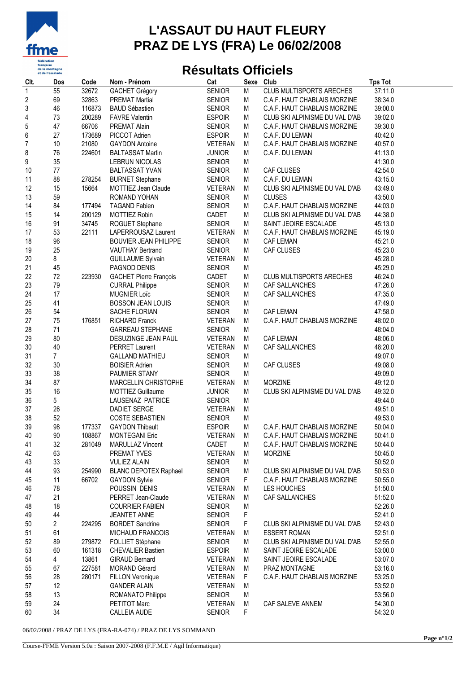

## **L'ASSAUT DU HAUT FLEURY PRAZ DE LYS (FRA) Le 06/02/2008**

## **Résultats Officiels**

| Clt.                    | Dos            | Code             | Nom - Prénom                                        | Cat                             | Sexe      | Club                            | <b>Tps Tot</b>     |
|-------------------------|----------------|------------------|-----------------------------------------------------|---------------------------------|-----------|---------------------------------|--------------------|
| $\mathbf{1}$            | 55             | 32672            | <b>GACHET Grégory</b>                               | <b>SENIOR</b>                   | M         | <b>CLUB MULTISPORTS ARECHES</b> | 37:11.0            |
| $\boldsymbol{2}$        | 69             | 32863            | <b>PREMAT Martial</b>                               | <b>SENIOR</b>                   | M         | C.A.F. HAUT CHABLAIS MORZINE    | 38:34.0            |
| 3                       | 46             | 116873           | <b>BAUD Sébastien</b>                               | <b>SENIOR</b>                   | M         | C.A.F. HAUT CHABLAIS MORZINE    | 39:00.0            |
| $\overline{\mathbf{r}}$ | 73             | 200289           | <b>FAVRE Valentin</b>                               | <b>ESPOIR</b>                   | M         | CLUB SKI ALPINISME DU VAL D'AB  | 39:02.0            |
| 5                       | 47             | 66706            | PREMAT Alain                                        | <b>SENIOR</b>                   | M         | C.A.F. HAUT CHABLAIS MORZINE    | 39:30.0            |
| 6                       | 27             | 173689           | PICCOT Adrien                                       | <b>ESPOIR</b>                   | M         | C.A.F. DU LEMAN                 | 40:42.0            |
| $\overline{7}$          | 10             | 21080            | <b>GAYDON Antoine</b>                               | VETERAN                         | M         | C.A.F. HAUT CHABLAIS MORZINE    | 40:57.0            |
| 8                       | 76             | 224601           | <b>BALTASSAT Martin</b>                             | <b>JUNIOR</b>                   | M         | C.A.F. DU LEMAN                 | 41:13.0            |
| 9                       | 35             |                  | LEBRUN NICOLAS                                      | <b>SENIOR</b>                   | M         |                                 | 41:30.0            |
| 10                      | $77$           |                  | <b>BALTASSAT YVAN</b>                               | <b>SENIOR</b>                   | M         | CAF CLUSES                      | 42:54.0            |
| 11                      | 88             | 278254           | <b>BURNET Stephane</b>                              | <b>SENIOR</b>                   | M         | C.A.F. DU LEMAN                 | 43:15.0            |
| 12                      | 15             | 15664            | <b>MOTTIEZ Jean Claude</b>                          | <b>VETERAN</b>                  | M         | CLUB SKI ALPINISME DU VAL D'AB  | 43:49.0            |
| 13                      | 59             |                  | ROMAND YOHAN                                        | <b>SENIOR</b>                   | M         | <b>CLUSES</b>                   | 43:50.0            |
| 14                      | 84             | 177494           | <b>TAGAND Fabien</b>                                | <b>SENIOR</b>                   | M         | C.A.F. HAUT CHABLAIS MORZINE    | 44:03.0            |
| 15                      | 14             | 200129           | <b>MOTTIEZ Robin</b>                                | CADET                           | M         | CLUB SKI ALPINISME DU VAL D'AB  | 44:38.0            |
| 16                      | 91             | 34745            | ROGUET Stephane                                     | <b>SENIOR</b>                   | M         | SAINT JEOIRE ESCALADE           | 45:13.0            |
| 17                      | 53             | 22111            | LAPERROUSAZ Laurent                                 | <b>VETERAN</b>                  | M         | C.A.F. HAUT CHABLAIS MORZINE    | 45:19.0            |
| 18                      | 96             |                  | <b>BOUVIER JEAN PHILIPPE</b>                        | <b>SENIOR</b>                   | M         | <b>CAF LEMAN</b>                | 45:21.0            |
| 19                      | 25             |                  | <b>VAUTHAY Bertrand</b>                             | <b>SENIOR</b>                   | M         | CAF CLUSES                      | 45:23.0            |
| 20                      | 8              |                  | <b>GUILLAUME Sylvain</b>                            | VETERAN                         | M         |                                 | 45:28.0            |
| 21                      | 45             |                  | PAGNOD DENIS                                        | <b>SENIOR</b>                   | M         |                                 | 45:29.0            |
| 22                      | 72             | 223930           | <b>GACHET Pierre François</b>                       | CADET                           | M         | <b>CLUB MULTISPORTS ARECHES</b> | 46:24.0            |
| 23                      | 79             |                  | <b>CURRAL Philippe</b>                              | <b>SENIOR</b>                   | M         | <b>CAF SALLANCHES</b>           | 47:26.0            |
| 24                      | 17             |                  | <b>MUGNIER Loïc</b>                                 | <b>SENIOR</b>                   | M         | CAF SALLANCHES                  | 47:35.0            |
| 25                      | 41             |                  | <b>BOSSON JEAN LOUIS</b>                            | <b>SENIOR</b>                   | M         |                                 | 47:49.0            |
| 26                      | 54             |                  | SACHE FLORIAN                                       | <b>SENIOR</b>                   | M         | <b>CAF LEMAN</b>                | 47:58.0            |
| 27                      | 75             | 176851           | <b>RICHARD Franck</b>                               | <b>VETERAN</b>                  | M         | C.A.F. HAUT CHABLAIS MORZINE    | 48:02.0            |
| 28                      | 71             |                  | <b>GARREAU STEPHANE</b>                             | <b>SENIOR</b>                   | ${\sf M}$ |                                 | 48:04.0            |
| 29                      | 80             |                  | DESUZINGE JEAN PAUL                                 | <b>VETERAN</b>                  | M         | CAF LEMAN                       | 48:06.0            |
| 30                      | 40             |                  | PERRET Laurent                                      | <b>VETERAN</b>                  | M         | CAF SALLANCHES                  | 48:20.0            |
| 31                      | $\overline{7}$ |                  | <b>GALLAND MATHIEU</b>                              | <b>SENIOR</b>                   | M         |                                 | 49:07.0            |
| 32                      | 30             |                  | <b>BOISIER Adrien</b>                               | <b>SENIOR</b>                   | M         | CAF CLUSES                      | 49:08.0            |
| 33                      | 38             |                  |                                                     |                                 | M         |                                 | 49:09.0            |
| 34                      | 87             |                  | PAUMIER STANY<br>MARCELLIN CHRISTOPHE               | <b>SENIOR</b><br><b>VETERAN</b> | M         | <b>MORZINE</b>                  | 49:12.0            |
| 35                      | 16             |                  | MOTTIEZ Guillaume                                   | <b>JUNIOR</b>                   | M         | CLUB SKI ALPINISME DU VAL D'AB  | 49:32.0            |
| 36                      | 5              |                  | LAUSENAZ PATRICE                                    | <b>SENIOR</b>                   | M         |                                 | 49:44.0            |
| 37                      | 26             |                  | <b>DADIET SERGE</b>                                 | <b>VETERAN</b>                  | M         |                                 | 49:51.0            |
| 38                      | 52             |                  |                                                     |                                 | M         |                                 |                    |
| 39                      | 98             | 177337           | COSTE SEBASTIEN<br><b>GAYDON Thibault</b>           | <b>SENIOR</b><br><b>ESPOIR</b>  | M         | C.A.F. HAUT CHABLAIS MORZINE    | 49:53.0<br>50:04.0 |
|                         |                |                  |                                                     |                                 |           | C.A.F. HAUT CHABLAIS MORZINE    |                    |
| 40                      | 90<br>32       | 108867<br>281049 | <b>MONTEGANI Eric</b>                               | VETERAN<br>CADET                | M<br>M    | C.A.F. HAUT CHABLAIS MORZINE    | 50:41.0<br>50:44.0 |
| 41<br>42                | 63             |                  | <b>MARULLAZ Vincent</b><br>PREMAT YVES              | <b>VETERAN</b>                  | M         | <b>MORZINE</b>                  | 50:45.0            |
| 43                      | 33             |                  |                                                     | <b>SENIOR</b>                   | M         |                                 | 50:52.0            |
| 44                      | 93             | 254990           | <b>VULIEZ ALAIN</b><br><b>BLANC DEPOTEX Raphael</b> | <b>SENIOR</b>                   | M         | CLUB SKI ALPINISME DU VAL D'AB  | 50:53.0            |
| 45                      | 11             | 66702            |                                                     | <b>SENIOR</b>                   | F.        | C.A.F. HAUT CHABLAIS MORZINE    | 50:55.0            |
|                         | 78             |                  | <b>GAYDON Sylvie</b>                                |                                 |           |                                 |                    |
| 46                      | 21             |                  | POUSSIN DENIS                                       | <b>VETERAN</b>                  | M         | LES HOUCHES                     | 51:50.0            |
| 47                      | 18             |                  | PERRET Jean-Claude<br><b>COURRIER FABIEN</b>        | VETERAN<br><b>SENIOR</b>        | M<br>M    | CAF SALLANCHES                  | 51:52.0<br>52:26.0 |
| 48                      | 44             |                  | <b>JEANTET ANNE</b>                                 | <b>SENIOR</b>                   | F         |                                 | 52:41.0            |
| 49                      | $\overline{c}$ | 224295           |                                                     | <b>SENIOR</b>                   | F         | CLUB SKI ALPINISME DU VAL D'AB  | 52:43.0            |
| 50                      |                |                  | <b>BORDET Sandrine</b>                              |                                 |           |                                 |                    |
| 51                      | 61             |                  | <b>MICHAUD FRANCOIS</b>                             | <b>VETERAN</b>                  | M         | <b>ESSERT ROMAN</b>             | 52:51.0            |
| 52                      | 89             | 279872           | FOLLIET Stéphane                                    | <b>SENIOR</b>                   | M         | CLUB SKI ALPINISME DU VAL D'AB  | 52:55.0            |
| 53                      | 60             | 161318           | <b>CHEVALIER Bastien</b>                            | <b>ESPOIR</b>                   | M         | SAINT JEOIRE ESCALADE           | 53:00.0            |
| 54                      | $\overline{4}$ | 13861            | GIRAUD Bernard                                      | VETERAN                         | M         | SAINT JEOIRE ESCALADE           | 53:07.0            |
| 55                      | 67             | 227581           | <b>MORAND Gérard</b>                                | VETERAN                         | M         | PRAZ MONTAGNE                   | 53:16.0            |
| 56                      | 28             | 280171           | <b>FILLON Veronique</b>                             | <b>VETERAN</b>                  | F         | C.A.F. HAUT CHABLAIS MORZINE    | 53:25.0            |
| 57                      | 12             |                  | <b>GANDER ALAIN</b>                                 | <b>VETERAN</b>                  | M         |                                 | 53:52.0            |
| 58                      | 13             |                  | ROMANATO Philippe                                   | <b>SENIOR</b>                   | M         |                                 | 53:56.0            |
| 59                      | 24             |                  | PETITOT Marc                                        | VETERAN                         | M         | CAF SALEVE ANNEM                | 54:30.0            |
| 60                      | 34             |                  | CALLEIA AUDE                                        | <b>SENIOR</b>                   | F         |                                 | 54:32.0            |

06/02/2008 / PRAZ DE LYS (FRA-RA-074) / PRAZ DE LYS SOMMAND